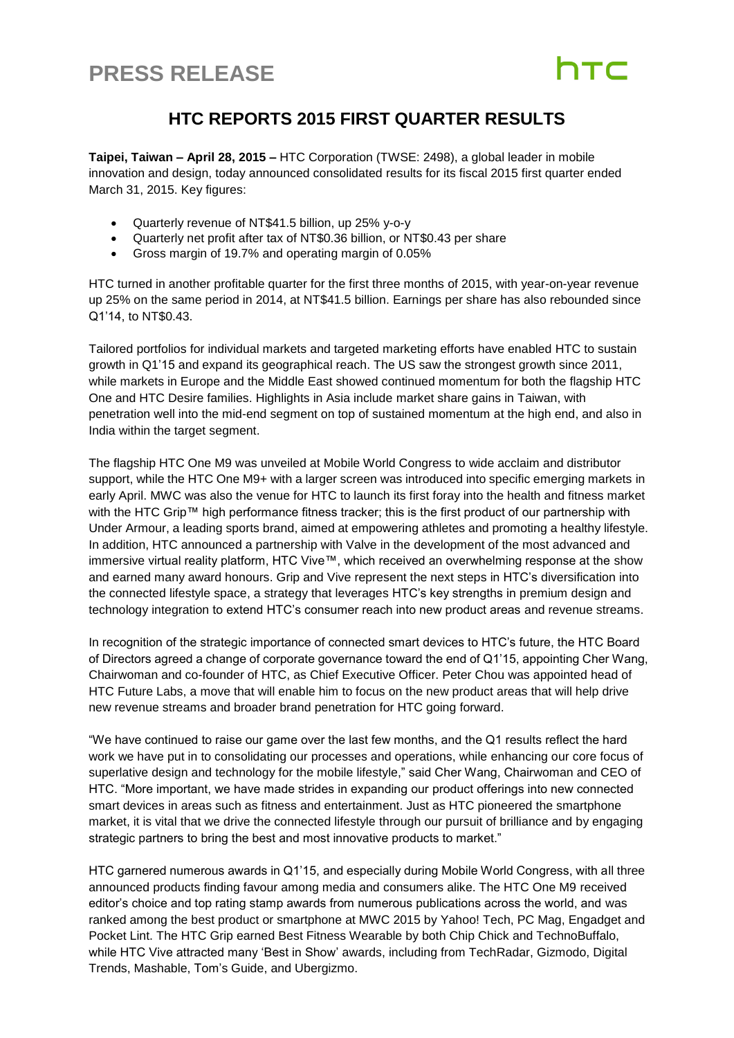## **PRESS RELEASE**

### **HTC REPORTS 2015 FIRST QUARTER RESULTS**

**Taipei, Taiwan – April 28, 2015 –** HTC Corporation (TWSE: 2498), a global leader in mobile innovation and design, today announced consolidated results for its fiscal 2015 first quarter ended March 31, 2015. Key figures:

- Quarterly revenue of NT\$41.5 billion, up 25% y-o-y
- Quarterly net profit after tax of NT\$0.36 billion, or NT\$0.43 per share
- Gross margin of 19.7% and operating margin of 0.05%

HTC turned in another profitable quarter for the first three months of 2015, with year-on-year revenue up 25% on the same period in 2014, at NT\$41.5 billion. Earnings per share has also rebounded since Q1'14, to NT\$0.43.

Tailored portfolios for individual markets and targeted marketing efforts have enabled HTC to sustain growth in Q1'15 and expand its geographical reach. The US saw the strongest growth since 2011, while markets in Europe and the Middle East showed continued momentum for both the flagship HTC One and HTC Desire families. Highlights in Asia include market share gains in Taiwan, with penetration well into the mid-end segment on top of sustained momentum at the high end, and also in India within the target segment.

The flagship HTC One M9 was unveiled at Mobile World Congress to wide acclaim and distributor support, while the HTC One M9+ with a larger screen was introduced into specific emerging markets in early April. MWC was also the venue for HTC to launch its first foray into the health and fitness market with the HTC Grip™ high performance fitness tracker; this is the first product of our partnership with Under Armour, a leading sports brand, aimed at empowering athletes and promoting a healthy lifestyle. In addition, HTC announced a partnership with Valve in the development of the most advanced and immersive virtual reality platform, HTC Vive™, which received an overwhelming response at the show and earned many award honours. Grip and Vive represent the next steps in HTC's diversification into the connected lifestyle space, a strategy that leverages HTC's key strengths in premium design and technology integration to extend HTC's consumer reach into new product areas and revenue streams.

In recognition of the strategic importance of connected smart devices to HTC's future, the HTC Board of Directors agreed a change of corporate governance toward the end of Q1'15, appointing Cher Wang, Chairwoman and co-founder of HTC, as Chief Executive Officer. Peter Chou was appointed head of HTC Future Labs, a move that will enable him to focus on the new product areas that will help drive new revenue streams and broader brand penetration for HTC going forward.

"We have continued to raise our game over the last few months, and the Q1 results reflect the hard work we have put in to consolidating our processes and operations, while enhancing our core focus of superlative design and technology for the mobile lifestyle," said Cher Wang, Chairwoman and CEO of HTC. "More important, we have made strides in expanding our product offerings into new connected smart devices in areas such as fitness and entertainment. Just as HTC pioneered the smartphone market, it is vital that we drive the connected lifestyle through our pursuit of brilliance and by engaging strategic partners to bring the best and most innovative products to market."

HTC garnered numerous awards in Q1'15, and especially during Mobile World Congress, with all three announced products finding favour among media and consumers alike. The HTC One M9 received editor's choice and top rating stamp awards from numerous publications across the world, and was ranked among the best product or smartphone at MWC 2015 by Yahoo! Tech, PC Mag, Engadget and Pocket Lint. The HTC Grip earned Best Fitness Wearable by both Chip Chick and TechnoBuffalo, while HTC Vive attracted many 'Best in Show' awards, including from TechRadar, Gizmodo, Digital Trends, Mashable, Tom's Guide, and Ubergizmo.